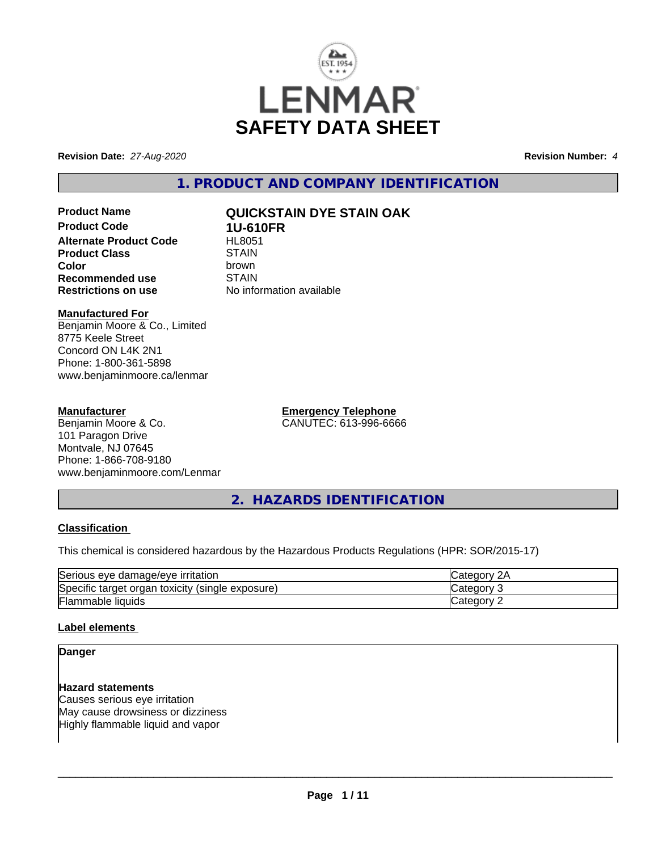

**Revision Date:** *27-Aug-2020* **Revision Number:** *4*

**1. PRODUCT AND COMPANY IDENTIFICATION**

**Product Code 1U-610FR**<br>Alternate Product Code HL8051 **Alternate Product Code HL805**<br>1874 Product Class **Product Class** STAIN<br> **Color Color** brown **Recommended use** STAIN<br> **Restrictions on use** No info

# **Product Name QUICKSTAIN DYE STAIN OAK**

**No information available** 

# **Manufactured For**

Benjamin Moore & Co., Limited 8775 Keele Street Concord ON L4K 2N1 Phone: 1-800-361-5898 www.benjaminmoore.ca/lenmar

## **Manufacturer**

Benjamin Moore & Co. 101 Paragon Drive Montvale, NJ 07645 Phone: 1-866-708-9180 www.benjaminmoore.com/Lenmar **Emergency Telephone** CANUTEC: 613-996-6666

**2. HAZARDS IDENTIFICATION**

## **Classification**

This chemical is considered hazardous by the Hazardous Products Regulations (HPR: SOR/2015-17)

| Serious<br><u><b>Irritation</b></u><br>damade/eve<br>eve     | יוחר<br>ZΓ |
|--------------------------------------------------------------|------------|
| Specific<br>(single exposure)<br>toxicity<br>target<br>organ | reaor      |
| Flammable liquids                                            | enor.      |

## **Label elements**

### **Danger**

#### **Hazard statements**

Causes serious eye irritation May cause drowsiness or dizziness Highly flammable liquid and vapor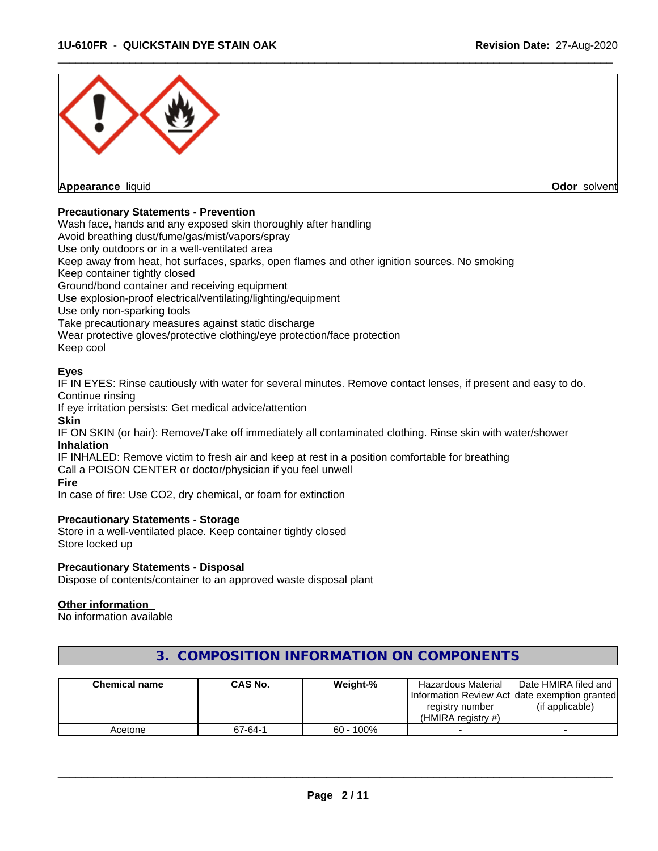

#### **Precautionary Statements - Prevention**

Wash face, hands and any exposed skin thoroughly after handling

Avoid breathing dust/fume/gas/mist/vapors/spray

Use only outdoors or in a well-ventilated area

Keep away from heat, hot surfaces, sparks, open flames and other ignition sources. No smoking

Keep container tightly closed

Ground/bond container and receiving equipment

Use explosion-proof electrical/ventilating/lighting/equipment

Use only non-sparking tools

Take precautionary measures against static discharge

Wear protective gloves/protective clothing/eye protection/face protection

Keep cool

#### **Eyes**

IF IN EYES: Rinse cautiously with water for several minutes. Remove contact lenses, if present and easy to do. Continue rinsing

If eye irritation persists: Get medical advice/attention

#### **Skin**

IF ON SKIN (or hair): Remove/Take off immediately all contaminated clothing. Rinse skin with water/shower **Inhalation**

IF INHALED: Remove victim to fresh air and keep at rest in a position comfortable for breathing Call a POISON CENTER or doctor/physician if you feel unwell

#### **Fire**

In case of fire: Use CO2, dry chemical, or foam for extinction

#### **Precautionary Statements - Storage**

Store in a well-ventilated place. Keep container tightly closed Store locked up

#### **Precautionary Statements - Disposal**

Dispose of contents/container to an approved waste disposal plant

#### **Other information**

No information available

| <b>Chemical name</b> | <b>CAS No.</b> | Weight-%     | Hazardous Material                             | Date HMIRA filed and |
|----------------------|----------------|--------------|------------------------------------------------|----------------------|
|                      |                |              | Information Review Act Idate exemption granted |                      |
|                      |                |              | registry number                                | (if applicable)      |
|                      |                |              | (HMIRA registry #)                             |                      |
| Acetone              | 67-64-1        | $60 - 100\%$ |                                                |                      |

# **3. COMPOSITION INFORMATION ON COMPONENTS**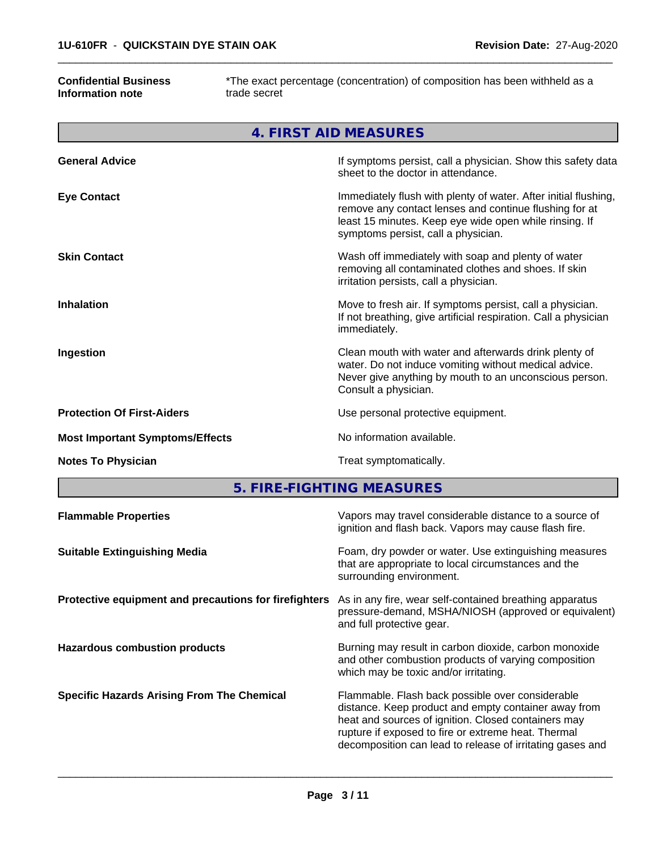#### **Confidential Business Information note**

\*The exact percentage (concentration) of composition has been withheld as a trade secret

 $\overline{\phantom{a}}$  ,  $\overline{\phantom{a}}$  ,  $\overline{\phantom{a}}$  ,  $\overline{\phantom{a}}$  ,  $\overline{\phantom{a}}$  ,  $\overline{\phantom{a}}$  ,  $\overline{\phantom{a}}$  ,  $\overline{\phantom{a}}$  ,  $\overline{\phantom{a}}$  ,  $\overline{\phantom{a}}$  ,  $\overline{\phantom{a}}$  ,  $\overline{\phantom{a}}$  ,  $\overline{\phantom{a}}$  ,  $\overline{\phantom{a}}$  ,  $\overline{\phantom{a}}$  ,  $\overline{\phantom{a}}$ 

|                                        | 4. FIRST AID MEASURES                                                                                                                                                                                                      |
|----------------------------------------|----------------------------------------------------------------------------------------------------------------------------------------------------------------------------------------------------------------------------|
| <b>General Advice</b>                  | If symptoms persist, call a physician. Show this safety data<br>sheet to the doctor in attendance.                                                                                                                         |
| <b>Eye Contact</b>                     | Immediately flush with plenty of water. After initial flushing,<br>remove any contact lenses and continue flushing for at<br>least 15 minutes. Keep eye wide open while rinsing. If<br>symptoms persist, call a physician. |
| <b>Skin Contact</b>                    | Wash off immediately with soap and plenty of water<br>removing all contaminated clothes and shoes. If skin<br>irritation persists, call a physician.                                                                       |
| <b>Inhalation</b>                      | Move to fresh air. If symptoms persist, call a physician.<br>If not breathing, give artificial respiration. Call a physician<br>immediately.                                                                               |
| Ingestion                              | Clean mouth with water and afterwards drink plenty of<br>water. Do not induce vomiting without medical advice.<br>Never give anything by mouth to an unconscious person.<br>Consult a physician.                           |
| <b>Protection Of First-Aiders</b>      | Use personal protective equipment.                                                                                                                                                                                         |
| <b>Most Important Symptoms/Effects</b> | No information available.                                                                                                                                                                                                  |
| <b>Notes To Physician</b>              | Treat symptomatically.                                                                                                                                                                                                     |

**5. FIRE-FIGHTING MEASURES**

| <b>Flammable Properties</b>                           | Vapors may travel considerable distance to a source of<br>ignition and flash back. Vapors may cause flash fire.                                                                                                                                                                     |
|-------------------------------------------------------|-------------------------------------------------------------------------------------------------------------------------------------------------------------------------------------------------------------------------------------------------------------------------------------|
| <b>Suitable Extinguishing Media</b>                   | Foam, dry powder or water. Use extinguishing measures<br>that are appropriate to local circumstances and the<br>surrounding environment.                                                                                                                                            |
| Protective equipment and precautions for firefighters | As in any fire, wear self-contained breathing apparatus<br>pressure-demand, MSHA/NIOSH (approved or equivalent)<br>and full protective gear.                                                                                                                                        |
| <b>Hazardous combustion products</b>                  | Burning may result in carbon dioxide, carbon monoxide<br>and other combustion products of varying composition<br>which may be toxic and/or irritating.                                                                                                                              |
| <b>Specific Hazards Arising From The Chemical</b>     | Flammable. Flash back possible over considerable<br>distance. Keep product and empty container away from<br>heat and sources of ignition. Closed containers may<br>rupture if exposed to fire or extreme heat. Thermal<br>decomposition can lead to release of irritating gases and |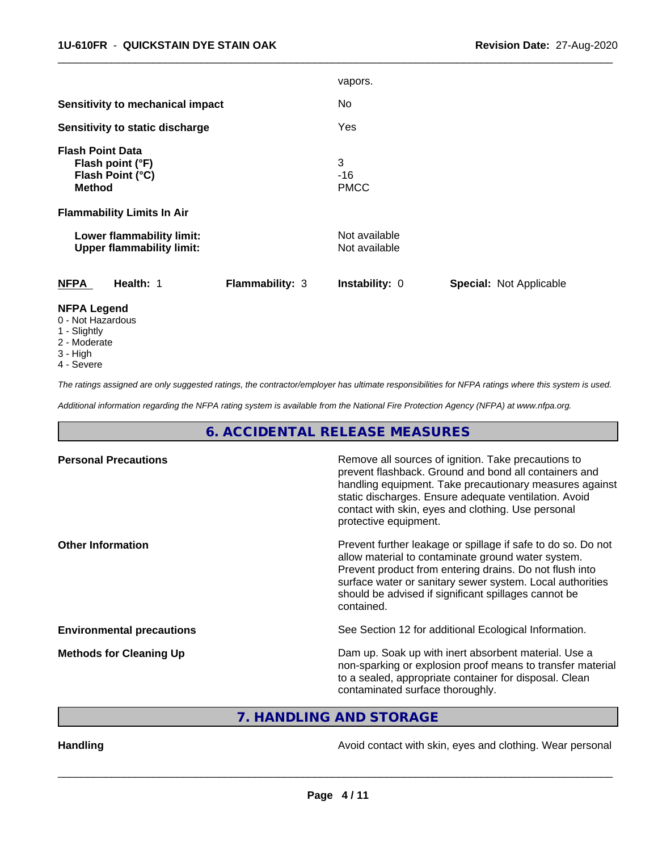|                                                                                  |                 | vapors.                        |                                |
|----------------------------------------------------------------------------------|-----------------|--------------------------------|--------------------------------|
| <b>Sensitivity to mechanical impact</b>                                          |                 | No                             |                                |
| Sensitivity to static discharge                                                  |                 | Yes                            |                                |
| <b>Flash Point Data</b><br>Flash point (°F)<br>Flash Point (°C)<br><b>Method</b> |                 | 3<br>$-16$<br><b>PMCC</b>      |                                |
| <b>Flammability Limits In Air</b>                                                |                 |                                |                                |
| Lower flammability limit:<br><b>Upper flammability limit:</b>                    |                 | Not available<br>Not available |                                |
| <b>NFPA</b><br>Health: 1                                                         | Flammability: 3 | Instability: 0                 | <b>Special: Not Applicable</b> |
| <b>NFPA Legend</b><br>0 - Not Hazardous                                          |                 |                                |                                |

 $\overline{\phantom{a}}$  ,  $\overline{\phantom{a}}$  ,  $\overline{\phantom{a}}$  ,  $\overline{\phantom{a}}$  ,  $\overline{\phantom{a}}$  ,  $\overline{\phantom{a}}$  ,  $\overline{\phantom{a}}$  ,  $\overline{\phantom{a}}$  ,  $\overline{\phantom{a}}$  ,  $\overline{\phantom{a}}$  ,  $\overline{\phantom{a}}$  ,  $\overline{\phantom{a}}$  ,  $\overline{\phantom{a}}$  ,  $\overline{\phantom{a}}$  ,  $\overline{\phantom{a}}$  ,  $\overline{\phantom{a}}$ 

- 1 Slightly
- 
- 2 Moderate
- 3 High
- 4 Severe

*The ratings assigned are only suggested ratings, the contractor/employer has ultimate responsibilities for NFPA ratings where this system is used.*

*Additional information regarding the NFPA rating system is available from the National Fire Protection Agency (NFPA) at www.nfpa.org.*

# **6. ACCIDENTAL RELEASE MEASURES**

| <b>Personal Precautions</b>      | Remove all sources of ignition. Take precautions to<br>prevent flashback. Ground and bond all containers and<br>handling equipment. Take precautionary measures against<br>static discharges. Ensure adequate ventilation. Avoid<br>contact with skin, eyes and clothing. Use personal<br>protective equipment.  |
|----------------------------------|------------------------------------------------------------------------------------------------------------------------------------------------------------------------------------------------------------------------------------------------------------------------------------------------------------------|
| <b>Other Information</b>         | Prevent further leakage or spillage if safe to do so. Do not<br>allow material to contaminate ground water system.<br>Prevent product from entering drains. Do not flush into<br>surface water or sanitary sewer system. Local authorities<br>should be advised if significant spillages cannot be<br>contained. |
| <b>Environmental precautions</b> | See Section 12 for additional Ecological Information.                                                                                                                                                                                                                                                            |
| <b>Methods for Cleaning Up</b>   | Dam up. Soak up with inert absorbent material. Use a<br>non-sparking or explosion proof means to transfer material<br>to a sealed, appropriate container for disposal. Clean<br>contaminated surface thoroughly.                                                                                                 |

**7. HANDLING AND STORAGE**

Handling **Handling Handling Avoid contact with skin, eyes and clothing. Wear personal**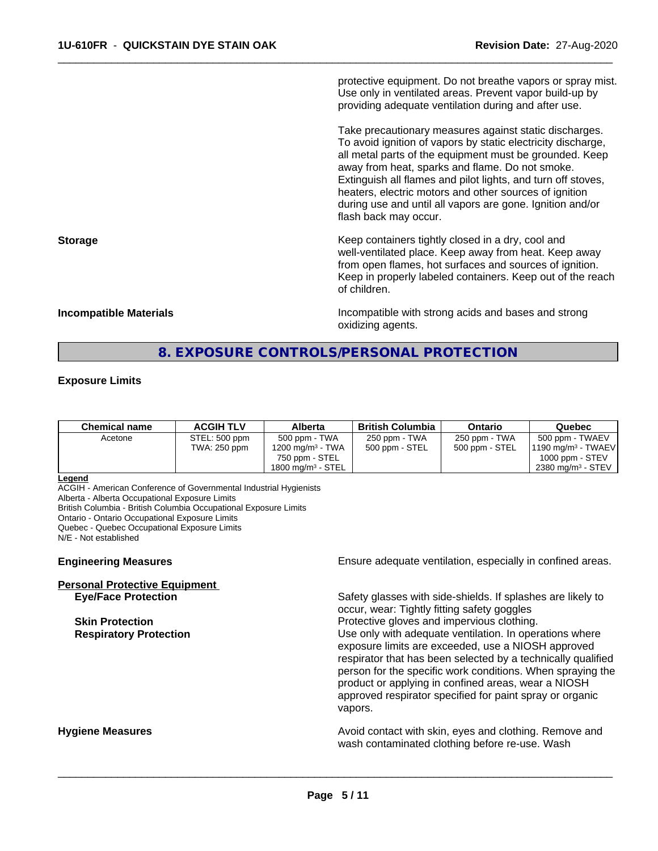protective equipment. Do not breathe vapors or spray mist. Use only in ventilated areas. Prevent vapor build-up by providing adequate ventilation during and after use.

 $\overline{\phantom{a}}$  ,  $\overline{\phantom{a}}$  ,  $\overline{\phantom{a}}$  ,  $\overline{\phantom{a}}$  ,  $\overline{\phantom{a}}$  ,  $\overline{\phantom{a}}$  ,  $\overline{\phantom{a}}$  ,  $\overline{\phantom{a}}$  ,  $\overline{\phantom{a}}$  ,  $\overline{\phantom{a}}$  ,  $\overline{\phantom{a}}$  ,  $\overline{\phantom{a}}$  ,  $\overline{\phantom{a}}$  ,  $\overline{\phantom{a}}$  ,  $\overline{\phantom{a}}$  ,  $\overline{\phantom{a}}$ 

Take precautionary measures against static discharges. To avoid ignition of vapors by static electricity discharge, all metal parts of the equipment must be grounded. Keep away from heat, sparks and flame. Do not smoke. Extinguish all flames and pilot lights, and turn off stoves, heaters, electric motors and other sources of ignition during use and until all vapors are gone. Ignition and/or flash back may occur.

**Storage Keep containers tightly closed in a dry, cool and get a dry and structure in a dry and structure in a dry and structure in a dry and structure in a dry and structure in a dry and structure in a dry and structure** well-ventilated place. Keep away from heat. Keep away from open flames, hot surfaces and sources of ignition. Keep in properly labeled containers. Keep out of the reach of children.

**Incompatible Materials Incompatible with strong acids and bases and strong** oxidizing agents.

# **8. EXPOSURE CONTROLS/PERSONAL PROTECTION**

#### **Exposure Limits**

| 500 ppm - TWA<br>250 ppm - TWA<br>250 ppm - TWA<br>STEL: 500 ppm<br>500 ppm - TWAEV<br>Acetone<br>1200 mg/m <sup>3</sup> - TWA<br>500 ppm - STEL<br>500 ppm - STEL<br>TWA: 250 ppm<br>$1000$ ppm $-$ STEV<br>750 ppm - STEL<br>$2380$ mg/m <sup>3</sup> - STEV<br>1800 mg/m $3$ - STEL | Chemical name | <b>ACGIH TLV</b> | Alberta | <b>British Columbia</b> | Ontario | Quebec                        |
|----------------------------------------------------------------------------------------------------------------------------------------------------------------------------------------------------------------------------------------------------------------------------------------|---------------|------------------|---------|-------------------------|---------|-------------------------------|
|                                                                                                                                                                                                                                                                                        |               |                  |         |                         |         | $1190 \text{ mg/m}^3$ - TWAEV |

#### **Legend**

ACGIH - American Conference of Governmental Industrial Hygienists

Alberta - Alberta Occupational Exposure Limits

British Columbia - British Columbia Occupational Exposure Limits

Ontario - Ontario Occupational Exposure Limits

Quebec - Quebec Occupational Exposure Limits

N/E - Not established

| <b>Personal Protective Equipment</b> |  |
|--------------------------------------|--|
| <b>Eve/Face Protection</b>           |  |

**Engineering Measures Ensure** Ensure adequate ventilation, especially in confined areas.

**Eye/Face Protection** Safety glasses with side-shields. If splashes are likely to occur, wear: Tightly fitting safety goggles **Skin Protection Protection Protective gloves and impervious clothing. Respiratory Protection Number 1** (Use only with adequate ventilation. In operations where exposure limits are exceeded, use a NIOSH approved respirator that has been selected by a technically qualified person for the specific work conditions. When spraying the product or applying in confined areas, wear a NIOSH approved respirator specified for paint spray or organic vapors.

**Hygiene Measures Avoid contact with skin, eyes and clothing. Remove and Avoid contact with skin, eyes and clothing. Remove and Avoid contact with skin, eyes and clothing. Remove and** wash contaminated clothing before re-use. Wash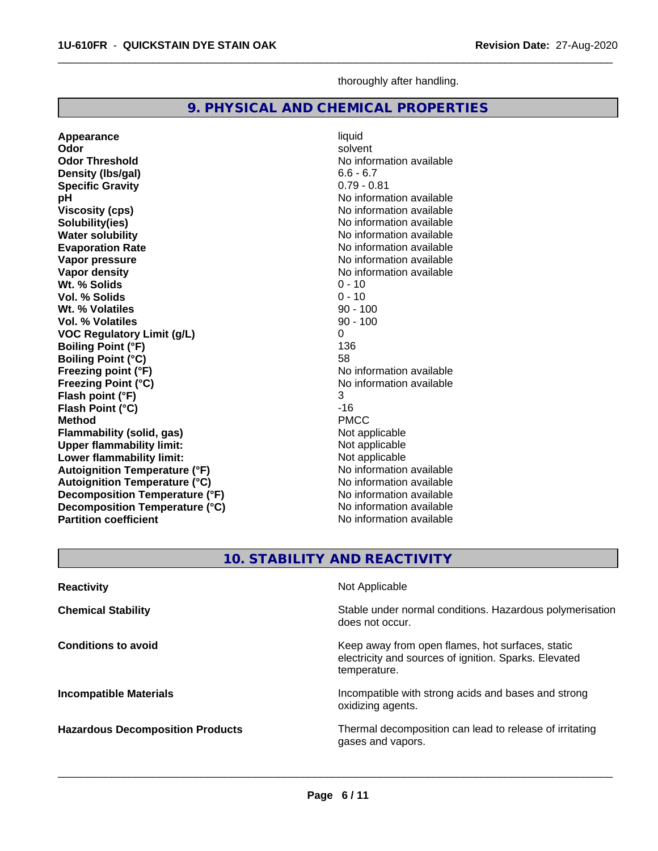**Specific Gravity** 

**Vol. % Solids** 

**Appearance** liquid and liquid liquid liquid and liquid liquid solvent

**Wt. % Solids** 0 - 10<br> **Vol. % Solids** 0 - 10

**Density (lbs/gal)** 6.6 - 6.7<br> **Specific Gravity** 6.79 - 0.81

**Odor** solvent **Odor Threshold** No information available

**pH** No information available **Viscosity (cps)** No information available<br> **Solubility(ies)** No information available<br>
No information available

**Water solubility**<br> **Evaporation Rate**<br> **Evaporation Rate**<br> **Evaporation Rate Evaporation Rate No information available**<br> **Vapor pressure No information available**<br>
No information available

**Vapor density**<br> **Vapor density**<br> **With % Solids**<br>
With % Solids<br>  $0 - 10$ 

| Wt. % Volatiles                         | $90 - 100$                                               |
|-----------------------------------------|----------------------------------------------------------|
| <b>Vol. % Volatiles</b>                 | $90 - 100$                                               |
| <b>VOC Regulatory Limit (g/L)</b>       | 0                                                        |
| <b>Boiling Point (°F)</b>               | 136                                                      |
| <b>Boiling Point (°C)</b>               | 58                                                       |
| Freezing point (°F)                     | No information available                                 |
| <b>Freezing Point (°C)</b>              | No information available                                 |
| Flash point (°F)                        | 3                                                        |
| Flash Point (°C)                        | $-16$                                                    |
| <b>Method</b>                           | <b>PMCC</b>                                              |
| <b>Flammability (solid, gas)</b>        | Not applicable                                           |
| <b>Upper flammability limit:</b>        | Not applicable                                           |
| Lower flammability limit:               | Not applicable                                           |
| <b>Autoignition Temperature (°F)</b>    | No information available                                 |
| <b>Autoignition Temperature (°C)</b>    | No information available                                 |
| Decomposition Temperature (°F)          | No information available                                 |
| Decomposition Temperature (°C)          | No information available                                 |
| <b>Partition coefficient</b>            | No information available                                 |
|                                         |                                                          |
|                                         | <b>10. STABILITY AND REACTIVITY</b>                      |
|                                         |                                                          |
| <b>Reactivity</b>                       | Not Applicable                                           |
| <b>Chemical Stability</b>               | Stable under normal conditions. Hazardous polymerisation |
|                                         | does not occur.                                          |
| <b>Conditions to avoid</b>              | Keep away from open flames, hot surfaces, static         |
|                                         | electricity and sources of ignition. Sparks. Elevated    |
|                                         | temperature.                                             |
| <b>Incompatible Materials</b>           | Incompatible with strong acids and bases and strong      |
|                                         | oxidizing agents.                                        |
| <b>Hazardous Decomposition Products</b> | Thermal decomposition can lead to release of irritating  |

thoroughly after handling.

**No information available** 

**No information available** 

 $\overline{\phantom{a}}$  ,  $\overline{\phantom{a}}$  ,  $\overline{\phantom{a}}$  ,  $\overline{\phantom{a}}$  ,  $\overline{\phantom{a}}$  ,  $\overline{\phantom{a}}$  ,  $\overline{\phantom{a}}$  ,  $\overline{\phantom{a}}$  ,  $\overline{\phantom{a}}$  ,  $\overline{\phantom{a}}$  ,  $\overline{\phantom{a}}$  ,  $\overline{\phantom{a}}$  ,  $\overline{\phantom{a}}$  ,  $\overline{\phantom{a}}$  ,  $\overline{\phantom{a}}$  ,  $\overline{\phantom{a}}$ 

**9. PHYSICAL AND CHEMICAL PROPERTIES**

gases and vapors.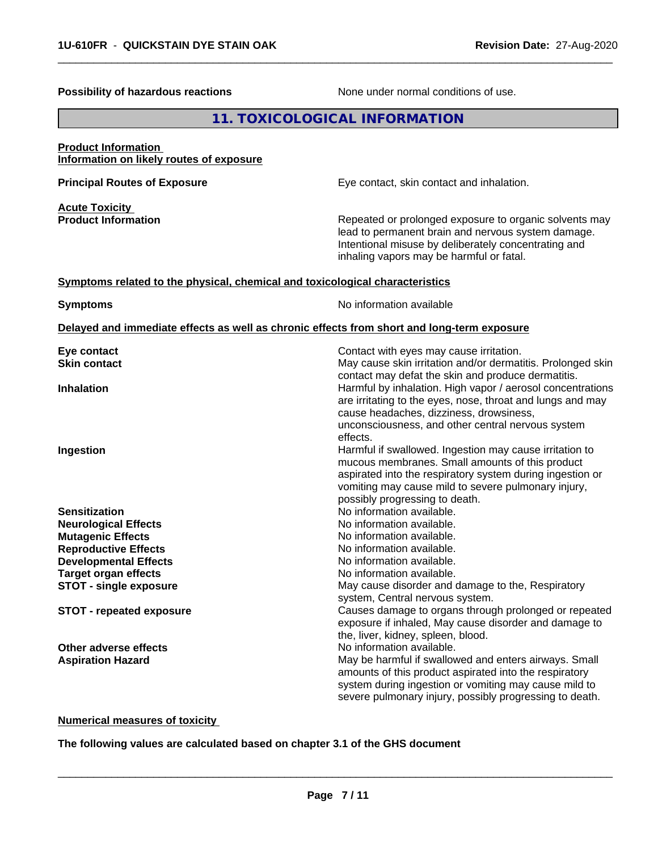| Possibility of hazardous reactions                                                         | None under normal conditions of use.                                                                                                                                                                                                                                                       |
|--------------------------------------------------------------------------------------------|--------------------------------------------------------------------------------------------------------------------------------------------------------------------------------------------------------------------------------------------------------------------------------------------|
|                                                                                            | 11. TOXICOLOGICAL INFORMATION                                                                                                                                                                                                                                                              |
| <b>Product Information</b><br>Information on likely routes of exposure                     |                                                                                                                                                                                                                                                                                            |
| <b>Principal Routes of Exposure</b>                                                        | Eye contact, skin contact and inhalation.                                                                                                                                                                                                                                                  |
| <b>Acute Toxicity</b><br><b>Product Information</b>                                        | Repeated or prolonged exposure to organic solvents may<br>lead to permanent brain and nervous system damage.<br>Intentional misuse by deliberately concentrating and<br>inhaling vapors may be harmful or fatal.                                                                           |
| Symptoms related to the physical, chemical and toxicological characteristics               |                                                                                                                                                                                                                                                                                            |
| <b>Symptoms</b>                                                                            | No information available                                                                                                                                                                                                                                                                   |
| Delayed and immediate effects as well as chronic effects from short and long-term exposure |                                                                                                                                                                                                                                                                                            |
| Eye contact<br><b>Skin contact</b>                                                         | Contact with eyes may cause irritation.<br>May cause skin irritation and/or dermatitis. Prolonged skin                                                                                                                                                                                     |
| <b>Inhalation</b>                                                                          | contact may defat the skin and produce dermatitis.<br>Harmful by inhalation. High vapor / aerosol concentrations<br>are irritating to the eyes, nose, throat and lungs and may<br>cause headaches, dizziness, drowsiness,<br>unconsciousness, and other central nervous system<br>effects. |
| Ingestion                                                                                  | Harmful if swallowed. Ingestion may cause irritation to<br>mucous membranes. Small amounts of this product<br>aspirated into the respiratory system during ingestion or<br>vomiting may cause mild to severe pulmonary injury,<br>possibly progressing to death.                           |
| <b>Sensitization</b>                                                                       | No information available.                                                                                                                                                                                                                                                                  |
| <b>Neurological Effects</b>                                                                | No information available.                                                                                                                                                                                                                                                                  |
| <b>Mutagenic Effects</b><br><b>Reproductive Effects</b>                                    | No information available.<br>No information available.                                                                                                                                                                                                                                     |
| <b>Developmental Effects</b>                                                               | No information available.                                                                                                                                                                                                                                                                  |
| <b>Target organ effects</b>                                                                | No information available.                                                                                                                                                                                                                                                                  |
| <b>STOT - single exposure</b>                                                              | May cause disorder and damage to the, Respiratory                                                                                                                                                                                                                                          |
| <b>STOT - repeated exposure</b>                                                            | system, Central nervous system.<br>Causes damage to organs through prolonged or repeated<br>exposure if inhaled, May cause disorder and damage to<br>the, liver, kidney, spleen, blood.                                                                                                    |
| Other adverse effects                                                                      | No information available.                                                                                                                                                                                                                                                                  |
| <b>Aspiration Hazard</b>                                                                   | May be harmful if swallowed and enters airways. Small<br>amounts of this product aspirated into the respiratory<br>system during ingestion or vomiting may cause mild to<br>severe pulmonary injury, possibly progressing to death.                                                        |

 $\overline{\phantom{a}}$  ,  $\overline{\phantom{a}}$  ,  $\overline{\phantom{a}}$  ,  $\overline{\phantom{a}}$  ,  $\overline{\phantom{a}}$  ,  $\overline{\phantom{a}}$  ,  $\overline{\phantom{a}}$  ,  $\overline{\phantom{a}}$  ,  $\overline{\phantom{a}}$  ,  $\overline{\phantom{a}}$  ,  $\overline{\phantom{a}}$  ,  $\overline{\phantom{a}}$  ,  $\overline{\phantom{a}}$  ,  $\overline{\phantom{a}}$  ,  $\overline{\phantom{a}}$  ,  $\overline{\phantom{a}}$ 

**Numerical measures of toxicity**

**The following values are calculated based on chapter 3.1 of the GHS document**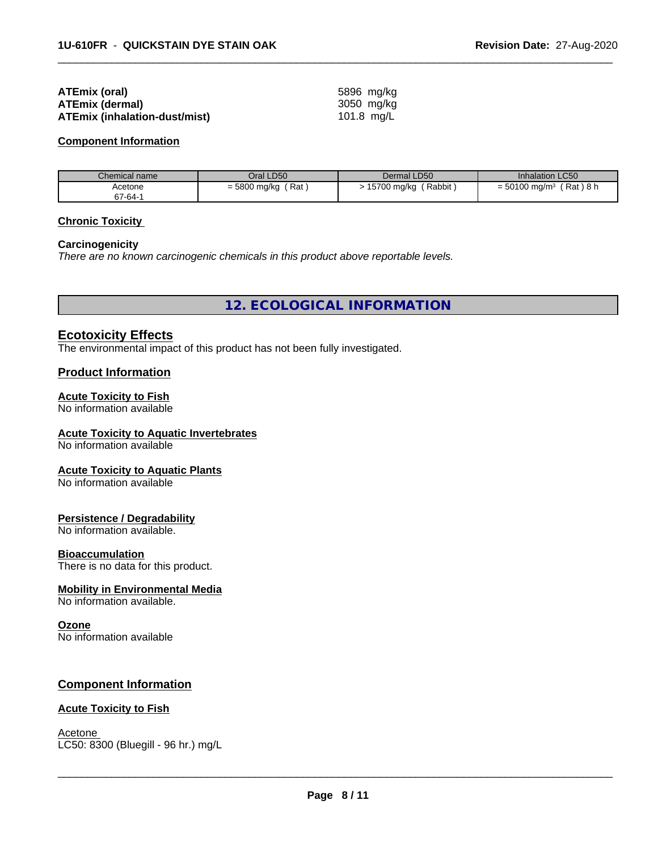| ATEmix (oral)                        | 5896 mg/kg |
|--------------------------------------|------------|
| <b>ATEmix (dermal)</b>               | 3050 mg/ka |
| <b>ATEmix (inhalation-dust/mist)</b> | 101.8 mg/L |

#### **Component Information**

| Chemical name | Oral LD50                 | Dermal LD50           | <b>Inhalation LC50</b>                  |
|---------------|---------------------------|-----------------------|-----------------------------------------|
| Acetone       | Rat<br>$=$ 5800 mg/kg $'$ | Rabbit<br>15700 mg/kg | (Rat)8 h<br>$= 50100$ mg/m <sup>3</sup> |
| 67-64-1       |                           |                       |                                         |

 $\overline{\phantom{a}}$  ,  $\overline{\phantom{a}}$  ,  $\overline{\phantom{a}}$  ,  $\overline{\phantom{a}}$  ,  $\overline{\phantom{a}}$  ,  $\overline{\phantom{a}}$  ,  $\overline{\phantom{a}}$  ,  $\overline{\phantom{a}}$  ,  $\overline{\phantom{a}}$  ,  $\overline{\phantom{a}}$  ,  $\overline{\phantom{a}}$  ,  $\overline{\phantom{a}}$  ,  $\overline{\phantom{a}}$  ,  $\overline{\phantom{a}}$  ,  $\overline{\phantom{a}}$  ,  $\overline{\phantom{a}}$ 

#### **Chronic Toxicity**

#### **Carcinogenicity**

*There are no known carcinogenic chemicals in this product above reportable levels.*

**12. ECOLOGICAL INFORMATION**

### **Ecotoxicity Effects**

The environmental impact of this product has not been fully investigated.

#### **Product Information**

#### **Acute Toxicity to Fish**

No information available

## **Acute Toxicity to Aquatic Invertebrates**

No information available

#### **Acute Toxicity to Aquatic Plants**

No information available

#### **Persistence / Degradability**

No information available.

#### **Bioaccumulation**

There is no data for this product.

#### **Mobility in Environmental Media**

No information available.

#### **Ozone**

No information available

#### **Component Information**

#### **Acute Toxicity to Fish**

Acetone \_\_\_\_\_\_\_\_\_\_\_\_\_\_\_\_\_\_\_\_\_\_\_\_\_\_\_\_\_\_\_\_\_\_\_\_\_\_\_\_\_\_\_\_\_\_\_\_\_\_\_\_\_\_\_\_\_\_\_\_\_\_\_\_\_\_\_\_\_\_\_\_\_\_\_\_\_\_\_\_\_\_\_\_\_\_\_\_\_\_\_\_\_ LC50: 8300 (Bluegill - 96 hr.) mg/L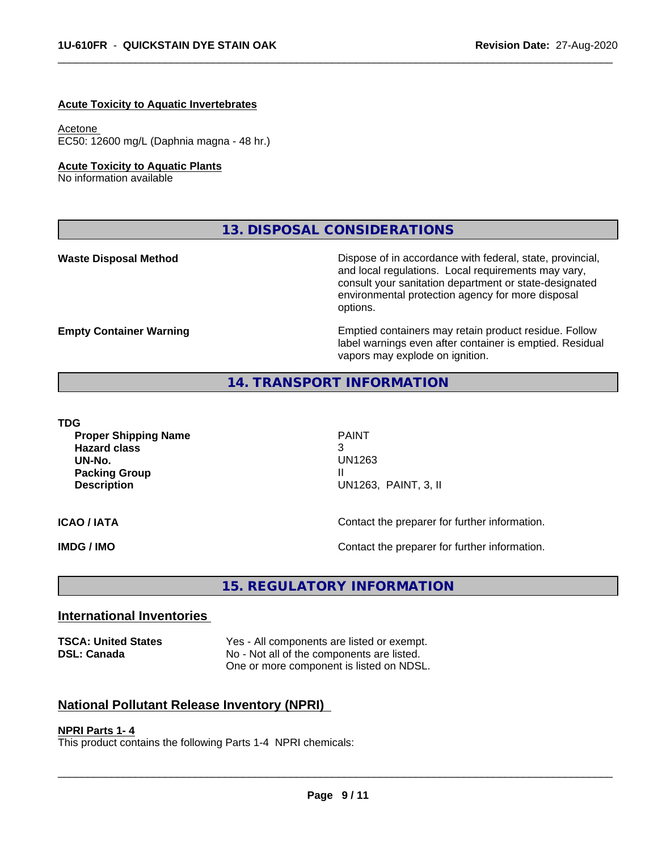#### **Acute Toxicity to Aquatic Invertebrates**

#### Acetone

EC50: 12600 mg/L (Daphnia magna - 48 hr.)

#### **Acute Toxicity to Aquatic Plants**

No information available

**13. DISPOSAL CONSIDERATIONS**

**Waste Disposal Method** Mateur Dispose of in accordance with federal, state, provincial, and local regulations. Local requirements may vary, consult your sanitation department or state-designated environmental protection agency for more disposal options.

**Empty Container Warning <b>Emptied** Containers may retain product residue. Follow label warnings even after container is emptied. Residual vapors may explode on ignition.

## **14. TRANSPORT INFORMATION**

**TDG**

**Proper Shipping Name** PAINT **Hazard class** 3 **UN-No.** UN1263 **Packing Group Case 20 April 2018 11 April 2019 11 April 2019 11 April 2019 11 April 2019 11 April 2019 11 April 2019 Description** UN1263, PAINT, 3, II

 $\overline{\phantom{a}}$  ,  $\overline{\phantom{a}}$  ,  $\overline{\phantom{a}}$  ,  $\overline{\phantom{a}}$  ,  $\overline{\phantom{a}}$  ,  $\overline{\phantom{a}}$  ,  $\overline{\phantom{a}}$  ,  $\overline{\phantom{a}}$  ,  $\overline{\phantom{a}}$  ,  $\overline{\phantom{a}}$  ,  $\overline{\phantom{a}}$  ,  $\overline{\phantom{a}}$  ,  $\overline{\phantom{a}}$  ,  $\overline{\phantom{a}}$  ,  $\overline{\phantom{a}}$  ,  $\overline{\phantom{a}}$ 

**ICAO / IATA ICAO / IATA Contact the preparer for further information.** 

**IMDG / IMO IMO Contact the preparer for further information.** 

**15. REGULATORY INFORMATION**

#### **International Inventories**

**TSCA: United States** Yes - All components are listed or exempt. **DSL: Canada** No - Not all of the components are listed. One or more component is listed on NDSL.

## **National Pollutant Release Inventory (NPRI)**

#### **NPRI Parts 1- 4**

This product contains the following Parts 1-4 NPRI chemicals: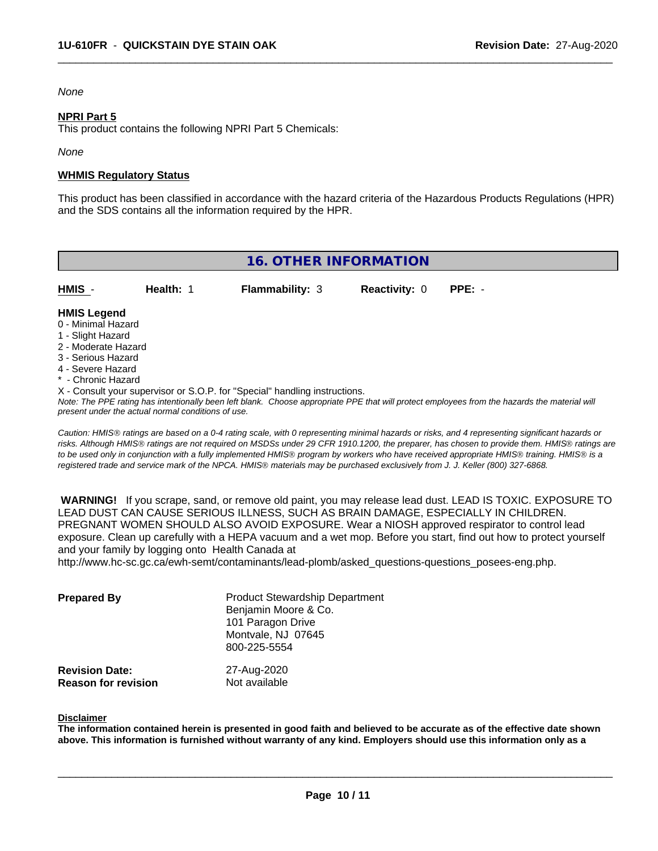### *None*

#### **NPRI Part 5**

This product contains the following NPRI Part 5 Chemicals:

*None*

#### **WHMIS Regulatory Status**

This product has been classified in accordance with the hazard criteria of the Hazardous Products Regulations (HPR) and the SDS contains all the information required by the HPR.

 $\overline{\phantom{a}}$  ,  $\overline{\phantom{a}}$  ,  $\overline{\phantom{a}}$  ,  $\overline{\phantom{a}}$  ,  $\overline{\phantom{a}}$  ,  $\overline{\phantom{a}}$  ,  $\overline{\phantom{a}}$  ,  $\overline{\phantom{a}}$  ,  $\overline{\phantom{a}}$  ,  $\overline{\phantom{a}}$  ,  $\overline{\phantom{a}}$  ,  $\overline{\phantom{a}}$  ,  $\overline{\phantom{a}}$  ,  $\overline{\phantom{a}}$  ,  $\overline{\phantom{a}}$  ,  $\overline{\phantom{a}}$ 

| <b>16. OTHER INFORMATION</b>                                                                                                                          |                                                    |                                                                            |                      |                                                                                                                                               |  |  |
|-------------------------------------------------------------------------------------------------------------------------------------------------------|----------------------------------------------------|----------------------------------------------------------------------------|----------------------|-----------------------------------------------------------------------------------------------------------------------------------------------|--|--|
| HMIS -                                                                                                                                                | Health: 1                                          | <b>Flammability: 3</b>                                                     | <b>Reactivity: 0</b> | $PPE: -$                                                                                                                                      |  |  |
| <b>HMIS Legend</b><br>0 - Minimal Hazard<br>1 - Slight Hazard<br>2 - Moderate Hazard<br>3 - Serious Hazard<br>4 - Severe Hazard<br>* - Chronic Hazard |                                                    | X - Consult your supervisor or S.O.P. for "Special" handling instructions. |                      |                                                                                                                                               |  |  |
|                                                                                                                                                       | present under the actual normal conditions of use. |                                                                            |                      | Note: The PPE rating has intentionally been left blank. Choose appropriate PPE that will protect employees from the hazards the material will |  |  |

*Caution: HMISÒ ratings are based on a 0-4 rating scale, with 0 representing minimal hazards or risks, and 4 representing significant hazards or risks. Although HMISÒ ratings are not required on MSDSs under 29 CFR 1910.1200, the preparer, has chosen to provide them. HMISÒ ratings are to be used only in conjunction with a fully implemented HMISÒ program by workers who have received appropriate HMISÒ training. HMISÒ is a registered trade and service mark of the NPCA. HMISÒ materials may be purchased exclusively from J. J. Keller (800) 327-6868.*

 **WARNING!** If you scrape, sand, or remove old paint, you may release lead dust. LEAD IS TOXIC. EXPOSURE TO LEAD DUST CAN CAUSE SERIOUS ILLNESS, SUCH AS BRAIN DAMAGE, ESPECIALLY IN CHILDREN. PREGNANT WOMEN SHOULD ALSO AVOID EXPOSURE.Wear a NIOSH approved respirator to control lead exposure. Clean up carefully with a HEPA vacuum and a wet mop. Before you start, find out how to protect yourself and your family by logging onto Health Canada at

http://www.hc-sc.gc.ca/ewh-semt/contaminants/lead-plomb/asked\_questions-questions\_posees-eng.php.

| <b>Prepared By</b>                                  | <b>Product Stewardship Department</b><br>Benjamin Moore & Co.<br>101 Paragon Drive<br>Montvale, NJ 07645<br>800-225-5554 |  |
|-----------------------------------------------------|--------------------------------------------------------------------------------------------------------------------------|--|
| <b>Revision Date:</b><br><b>Reason for revision</b> | 27-Aug-2020<br>Not available                                                                                             |  |

#### **Disclaimer**

The information contained herein is presented in good faith and believed to be accurate as of the effective date shown above. This information is furnished without warranty of any kind. Employers should use this information only as a